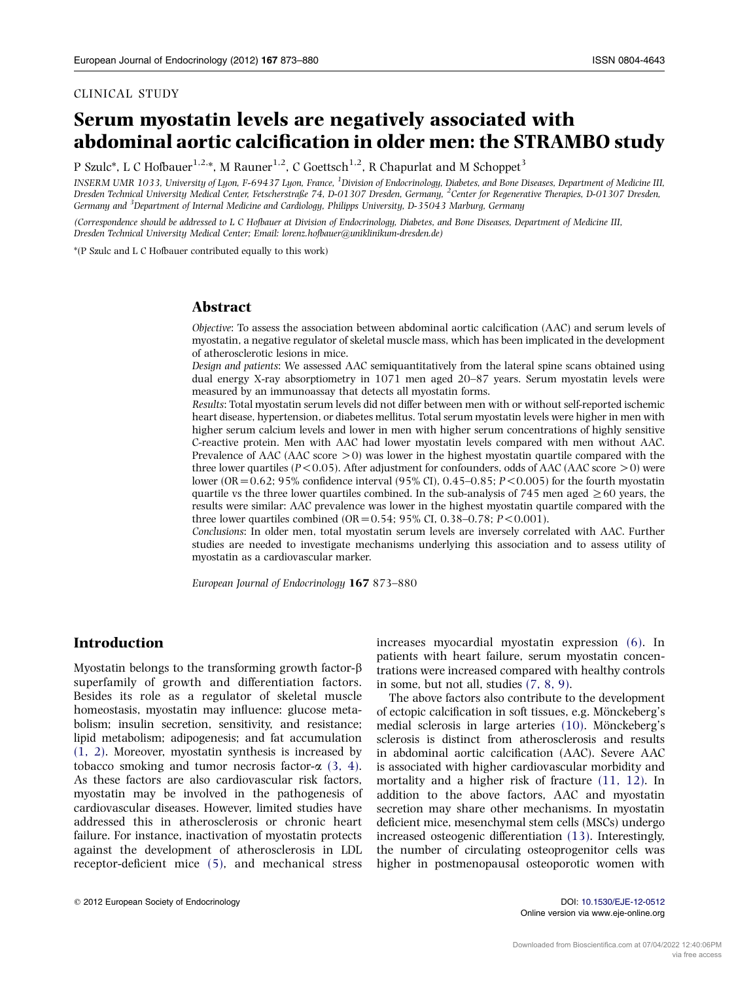#### CLINICAL STUDY

# Serum myostatin levels are negatively associated with abdominal aortic calcification in older men: the STRAMBO study

P Szulc<sup>\*</sup>, L C Hofbauer<sup>1,2,\*</sup>, M Rauner<sup>1,2</sup>, C Goettsch<sup>1,2</sup>, R Chapurlat and M Schoppet<sup>3</sup>

INSERM UMR 1033, University of Lyon, F-69437 Lyon, France, <sup>1</sup>Division of Endocrinology, Diabetes, and Bone Diseases, Department of Medicine III, Dresden Technical University Medical Center, Fetscherstraße 74, D-01307 Dresden, Germany, <sup>2</sup>Center for Regenerative Therapies, D-01307 Dresden, Germany and <sup>3</sup>Department of Internal Medicine and Cardiology, Philipps University, D-35043 Marburg, Germany

(Correspondence should be addressed to L C Hofbauer at Division of Endocrinology, Diabetes, and Bone Diseases, Department of Medicine III, Dresden Technical University Medical Center; Email: lorenz.hofbauer@uniklinikum-dresden.de)

\*(P Szulc and L C Hofbauer contributed equally to this work)

## Abstract

Objective: To assess the association between abdominal aortic calcification (AAC) and serum levels of myostatin, a negative regulator of skeletal muscle mass, which has been implicated in the development of atherosclerotic lesions in mice.

Design and patients: We assessed AAC semiquantitatively from the lateral spine scans obtained using dual energy X-ray absorptiometry in 1071 men aged 20–87 years. Serum myostatin levels were measured by an immunoassay that detects all myostatin forms.

Results: Total myostatin serum levels did not differ between men with or without self-reported ischemic heart disease, hypertension, or diabetes mellitus. Total serum myostatin levels were higher in men with higher serum calcium levels and lower in men with higher serum concentrations of highly sensitive C-reactive protein. Men with AAC had lower myostatin levels compared with men without AAC. Prevalence of AAC (AAC score  $> 0$ ) was lower in the highest myostatin quartile compared with the three lower quartiles ( $P < 0.05$ ). After adjustment for confounders, odds of AAC (AAC score  $> 0$ ) were lower (OR = 0.62; 95% confidence interval (95% CI), 0.45–0.85;  $P < 0.005$ ) for the fourth myostatin quartile vs the three lower quartiles combined. In the sub-analysis of 745 men aged  $\geq 60$  years, the results were similar: AAC prevalence was lower in the highest myostatin quartile compared with the three lower quartiles combined (OR =  $0.54$ ; 95% CI, 0.38–0.78; P < 0.001).

Conclusions: In older men, total myostatin serum levels are inversely correlated with AAC. Further studies are needed to investigate mechanisms underlying this association and to assess utility of myostatin as a cardiovascular marker.

European Journal of Endocrinology 167 873–880

## Introduction

Myostatin belongs to the transforming growth factor- $\beta$ superfamily of growth and differentiation factors. Besides its role as a regulator of skeletal muscle homeostasis, myostatin may influence: glucose metabolism; insulin secretion, sensitivity, and resistance; lipid metabolism; adipogenesis; and fat accumulation [\(1, 2\)](#page-5-0). Moreover, myostatin synthesis is increased by tobacco smoking and tumor necrosis factor- $\alpha$  [\(3, 4\)](#page-6-0). As these factors are also cardiovascular risk factors, myostatin may be involved in the pathogenesis of cardiovascular diseases. However, limited studies have addressed this in atherosclerosis or chronic heart failure. For instance, inactivation of myostatin protects against the development of atherosclerosis in LDL receptor-deficient mice [\(5\),](#page-6-0) and mechanical stress increases myocardial myostatin expression [\(6\).](#page-6-0) In patients with heart failure, serum myostatin concentrations were increased compared with healthy controls in some, but not all, studies [\(7, 8, 9\).](#page-6-0)

The above factors also contribute to the development of ectopic calcification in soft tissues, e.g. Mönckeberg's medial sclerosis in large arteries  $(10)$ . Mönckeberg's sclerosis is distinct from atherosclerosis and results in abdominal aortic calcification (AAC). Severe AAC is associated with higher cardiovascular morbidity and mortality and a higher risk of fracture [\(11, 12\)](#page-6-0). In addition to the above factors, AAC and myostatin secretion may share other mechanisms. In myostatin deficient mice, mesenchymal stem cells (MSCs) undergo increased osteogenic differentiation [\(13\)](#page-6-0). Interestingly, the number of circulating osteoprogenitor cells was higher in postmenopausal osteoporotic women with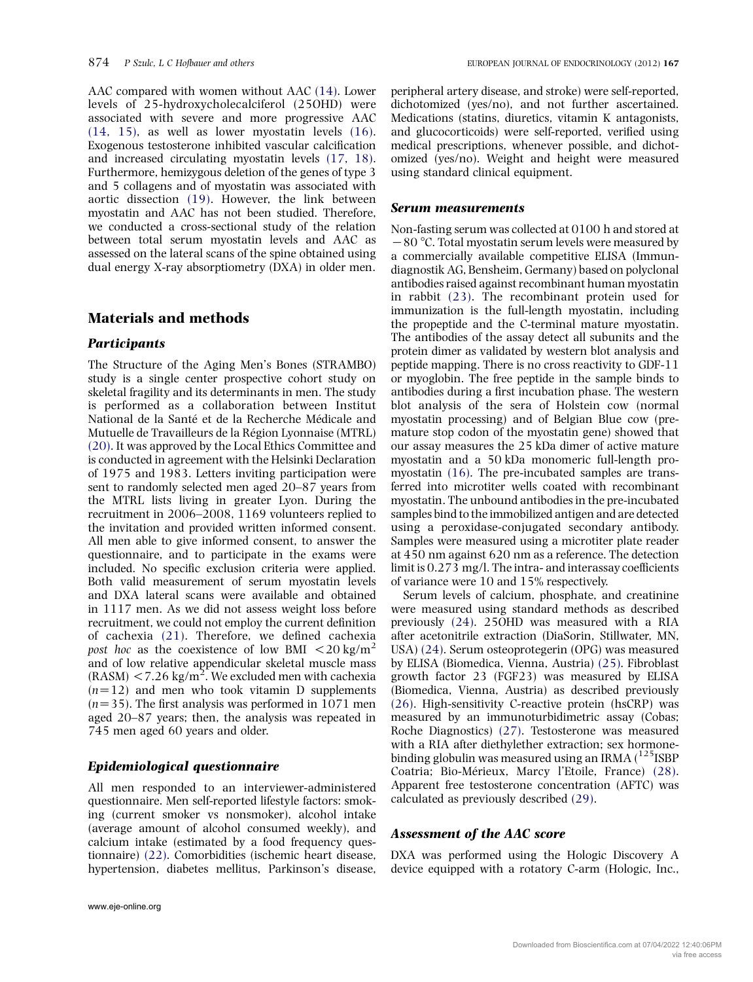AAC compared with women without AAC [\(14\).](#page-6-0) Lower levels of 25-hydroxycholecalciferol (25OHD) were associated with severe and more progressive AAC [\(14, 15\),](#page-6-0) as well as lower myostatin levels [\(16\).](#page-6-0) Exogenous testosterone inhibited vascular calcification and increased circulating myostatin levels [\(17, 18\).](#page-6-0) Furthermore, hemizygous deletion of the genes of type 3 and 5 collagens and of myostatin was associated with aortic dissection [\(19\)](#page-6-0). However, the link between myostatin and AAC has not been studied. Therefore, we conducted a cross-sectional study of the relation between total serum myostatin levels and AAC as assessed on the lateral scans of the spine obtained using dual energy X-ray absorptiometry (DXA) in older men.

## Materials and methods

#### **Participants**

The Structure of the Aging Men's Bones (STRAMBO) study is a single center prospective cohort study on skeletal fragility and its determinants in men. The study is performed as a collaboration between Institut National de la Santé et de la Recherche Médicale and Mutuelle de Travailleurs de la Région Lyonnaise (MTRL) [\(20\)](#page-6-0). It was approved by the Local Ethics Committee and is conducted in agreement with the Helsinki Declaration of 1975 and 1983. Letters inviting participation were sent to randomly selected men aged 20–87 years from the MTRL lists living in greater Lyon. During the recruitment in 2006–2008, 1169 volunteers replied to the invitation and provided written informed consent. All men able to give informed consent, to answer the questionnaire, and to participate in the exams were included. No specific exclusion criteria were applied. Both valid measurement of serum myostatin levels and DXA lateral scans were available and obtained in 1117 men. As we did not assess weight loss before recruitment, we could not employ the current definition of cachexia [\(21\)](#page-6-0). Therefore, we defined cachexia post hoc as the coexistence of low BMI  $\langle 20 \text{ kg/m}^2 \rangle$ and of low relative appendicular skeletal muscle mass  $(RASM)$  < 7.26 kg/m<sup>2</sup>. We excluded men with cachexia  $(n=12)$  and men who took vitamin D supplements  $(n=35)$ . The first analysis was performed in 1071 men aged 20–87 years; then, the analysis was repeated in 745 men aged 60 years and older.

## Epidemiological questionnaire

All men responded to an interviewer-administered questionnaire. Men self-reported lifestyle factors: smoking (current smoker vs nonsmoker), alcohol intake (average amount of alcohol consumed weekly), and calcium intake (estimated by a food frequency questionnaire) [\(22\).](#page-6-0) Comorbidities (ischemic heart disease, hypertension, diabetes mellitus, Parkinson's disease,

peripheral artery disease, and stroke) were self-reported, dichotomized (yes/no), and not further ascertained. Medications (statins, diuretics, vitamin K antagonists, and glucocorticoids) were self-reported, verified using medical prescriptions, whenever possible, and dichotomized (yes/no). Weight and height were measured using standard clinical equipment.

#### Serum measurements

Non-fasting serum was collected at 0100 h and stored at  $-80$  °C. Total myostatin serum levels were measured by a commercially available competitive ELISA (Immundiagnostik AG, Bensheim, Germany) based on polyclonal antibodies raised against recombinant human myostatin in rabbit [\(23\)](#page-6-0). The recombinant protein used for immunization is the full-length myostatin, including the propeptide and the C-terminal mature myostatin. The antibodies of the assay detect all subunits and the protein dimer as validated by western blot analysis and peptide mapping. There is no cross reactivity to GDF-11 or myoglobin. The free peptide in the sample binds to antibodies during a first incubation phase. The western blot analysis of the sera of Holstein cow (normal myostatin processing) and of Belgian Blue cow (premature stop codon of the myostatin gene) showed that our assay measures the 25 kDa dimer of active mature myostatin and a 50 kDa monomeric full-length promyostatin [\(16\)](#page-6-0). The pre-incubated samples are transferred into microtiter wells coated with recombinant myostatin. The unbound antibodies in the pre-incubated samples bind to the immobilized antigen and are detected using a peroxidase-conjugated secondary antibody. Samples were measured using a microtiter plate reader at 450 nm against 620 nm as a reference. The detection limit is 0.273 mg/l. The intra- and interassay coefficients of variance were 10 and 15% respectively.

Serum levels of calcium, phosphate, and creatinine were measured using standard methods as described previously [\(24\)](#page-6-0). 25OHD was measured with a RIA after acetonitrile extraction (DiaSorin, Stillwater, MN, USA) [\(24\).](#page-6-0) Serum osteoprotegerin (OPG) was measured by ELISA (Biomedica, Vienna, Austria) [\(25\)](#page-6-0). Fibroblast growth factor 23 (FGF23) was measured by ELISA (Biomedica, Vienna, Austria) as described previously [\(26\)](#page-6-0). High-sensitivity C-reactive protein (hsCRP) was measured by an immunoturbidimetric assay (Cobas; Roche Diagnostics) [\(27\).](#page-6-0) Testosterone was measured with a RIA after diethylether extraction; sex hormonebinding globulin was measured using an IRMA  $(^{125}$ ISBP Coatria; Bio-Mérieux, Marcy l'Etoile, France) [\(28\).](#page-6-0) Apparent free testosterone concentration (AFTC) was calculated as previously described [\(29\)](#page-6-0).

## Assessment of the AAC score

DXA was performed using the Hologic Discovery A device equipped with a rotatory C-arm (Hologic, Inc.,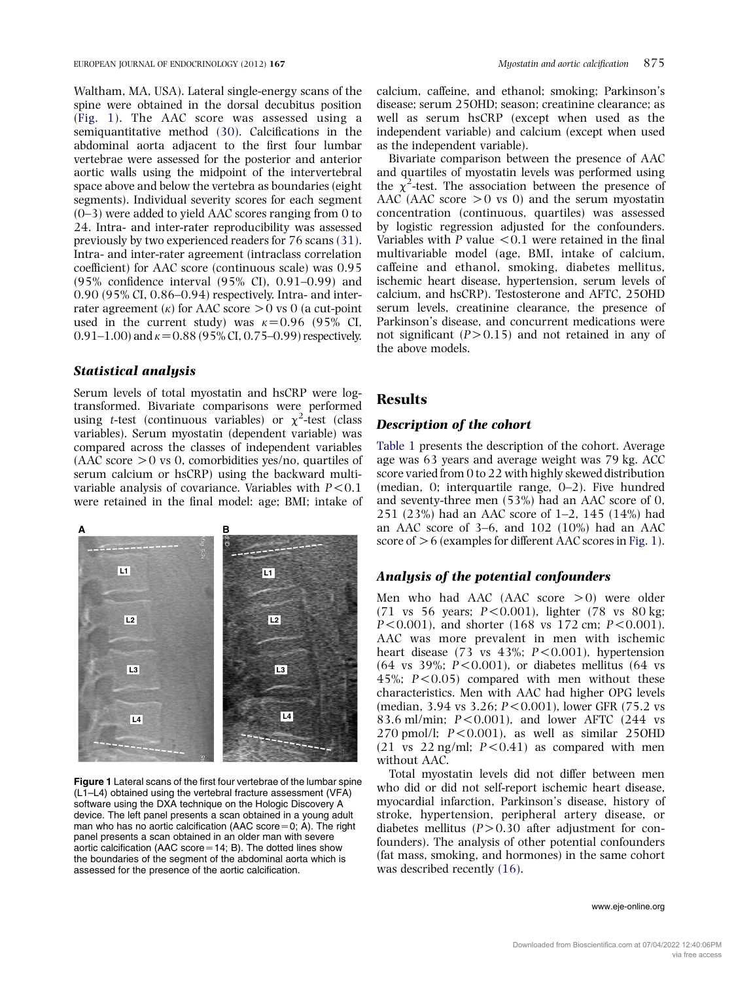Waltham, MA, USA). Lateral single-energy scans of the spine were obtained in the dorsal decubitus position (Fig. 1). The AAC score was assessed using a semiquantitative method [\(30\)](#page-6-0). Calcifications in the abdominal aorta adjacent to the first four lumbar vertebrae were assessed for the posterior and anterior aortic walls using the midpoint of the intervertebral space above and below the vertebra as boundaries (eight segments). Individual severity scores for each segment (0–3) were added to yield AAC scores ranging from 0 to 24. Intra- and inter-rater reproducibility was assessed previously by two experienced readers for 76 scans [\(31\)](#page-6-0). Intra- and inter-rater agreement (intraclass correlation coefficient) for AAC score (continuous scale) was 0.95 (95% confidence interval (95% CI), 0.91–0.99) and 0.90 (95% CI, 0.86–0.94) respectively. Intra- and interrater agreement ( $\kappa$ ) for AAC score  $> 0$  vs 0 (a cut-point used in the current study) was  $\kappa$ =0.96 (95% CI, 0.91–1.00) and  $\kappa$  = 0.88 (95% CI, 0.75–0.99) respectively.

#### Statistical analysis

Serum levels of total myostatin and hsCRP were logtransformed. Bivariate comparisons were performed using *t*-test (continuous variables) or  $\chi^2$ -test (class variables). Serum myostatin (dependent variable) was compared across the classes of independent variables  $(AAC score > 0 vs 0, comorbidities yes/no, quartiles of$ serum calcium or hsCRP) using the backward multivariable analysis of covariance. Variables with  $P < 0.1$ were retained in the final model: age; BMI; intake of



Figure 1 Lateral scans of the first four vertebrae of the lumbar spine (L1–L4) obtained using the vertebral fracture assessment (VFA) software using the DXA technique on the Hologic Discovery A device. The left panel presents a scan obtained in a young adult man who has no aortic calcification (AAC score=0; A). The right panel presents a scan obtained in an older man with severe aortic calcification (AAC score $=$  14; B). The dotted lines show the boundaries of the segment of the abdominal aorta which is assessed for the presence of the aortic calcification.

calcium, caffeine, and ethanol; smoking; Parkinson's disease; serum 25OHD; season; creatinine clearance; as well as serum hsCRP (except when used as the independent variable) and calcium (except when used as the independent variable).

Bivariate comparison between the presence of AAC and quartiles of myostatin levels was performed using the  $\chi^2$ -test. The association between the presence of AAC (AAC score  $> 0$  vs 0) and the serum myostatin concentration (continuous, quartiles) was assessed by logistic regression adjusted for the confounders. Variables with  $P$  value  $\leq 0.1$  were retained in the final multivariable model (age, BMI, intake of calcium, caffeine and ethanol, smoking, diabetes mellitus, ischemic heart disease, hypertension, serum levels of calcium, and hsCRP). Testosterone and AFTC, 25OHD serum levels, creatinine clearance, the presence of Parkinson's disease, and concurrent medications were not significant  $(P>0.15)$  and not retained in any of the above models.

## **Results**

#### Description of the cohort

[Table 1](#page-3-0) presents the description of the cohort. Average age was 63 years and average weight was 79 kg. ACC score varied from 0 to 22 with highly skewed distribution (median, 0; interquartile range, 0–2). Five hundred and seventy-three men (53%) had an AAC score of 0, 251 (23%) had an AAC score of 1–2, 145 (14%) had an AAC score of 3–6, and 102 (10%) had an AAC score of  $> 6$  (examples for different AAC scores in Fig. 1).

## Analysis of the potential confounders

Men who had AAC (AAC score  $>0$ ) were older  $(71 \text{ vs } 56 \text{ years}; P < 0.001)$ , lighter  $(78 \text{ vs } 80 \text{ kg};$  $P < 0.001$ ), and shorter (168 vs 172 cm;  $P < 0.001$ ). AAC was more prevalent in men with ischemic heart disease (73 vs  $43\%$ ;  $P < 0.001$ ), hypertension (64 vs 39%;  $P < 0.001$ ), or diabetes mellitus (64 vs 45%;  $P < 0.05$  compared with men without these characteristics. Men with AAC had higher OPG levels (median, 3.94 vs 3.26;  $P < 0.001$ ), lower GFR (75.2 vs 83.6 ml/min;  $P < 0.001$ ), and lower AFTC (244 vs  $270$  pmol/l;  $P < 0.001$ ), as well as similar  $25OHD$  $(21 \text{ vs } 22 \text{ ng/ml}; P < 0.41)$  as compared with men without AAC.

Total myostatin levels did not differ between men who did or did not self-report ischemic heart disease, myocardial infarction, Parkinson's disease, history of stroke, hypertension, peripheral artery disease, or diabetes mellitus  $(P>0.30$  after adjustment for confounders). The analysis of other potential confounders (fat mass, smoking, and hormones) in the same cohort was described recently  $(16)$ .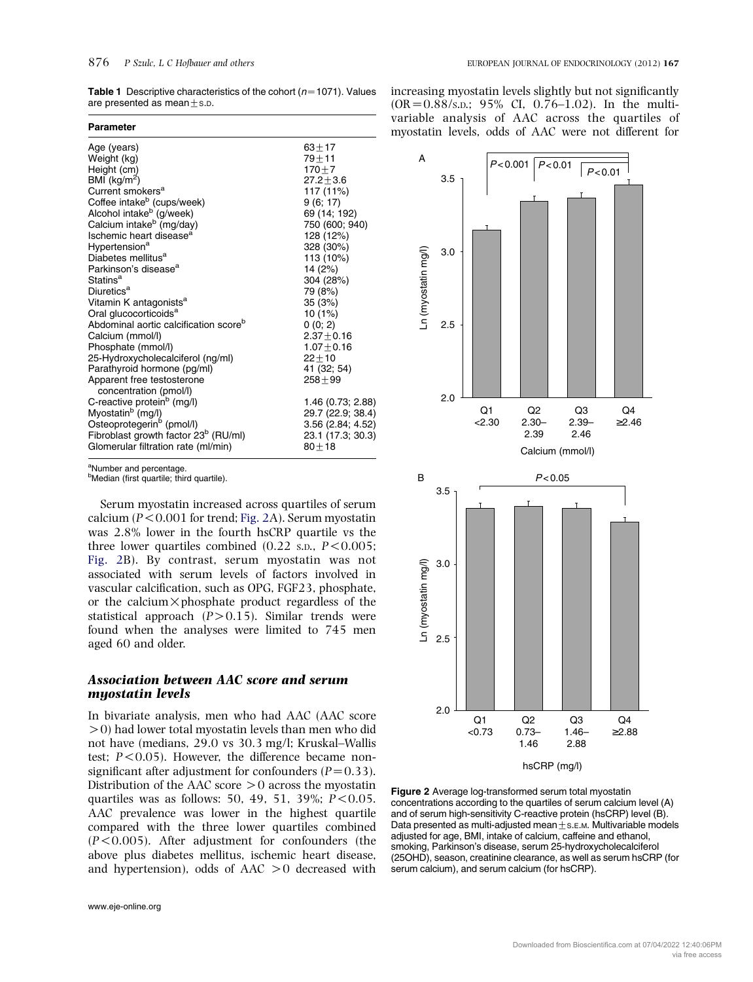<span id="page-3-0"></span>**Table 1** Descriptive characteristics of the cohort ( $n=1071$ ). Values are presented as mean $\pm$ s.p.

| <b>Parameter</b>                                                                        |                                |
|-----------------------------------------------------------------------------------------|--------------------------------|
| Age (years)                                                                             | $63 + 17$                      |
| Weight (kg)                                                                             | $79 + 11$                      |
| Height (cm)                                                                             | $170 + 7$                      |
| BMI ( $kg/m2$ )                                                                         | $27.2 + 3.6$                   |
| Current smokers <sup>a</sup>                                                            | 117 (11%)                      |
| Coffee intake <sup>b</sup> (cups/week)<br>Alcohol intake <sup>b</sup> (g/week)          | 9(6; 17)                       |
|                                                                                         | 69 (14; 192)                   |
| Calcium intake <sup>b</sup> (mg/day)                                                    | 750 (600; 940)                 |
| Ischemic heart disease <sup>a</sup>                                                     | 128 (12%)                      |
| Hypertension <sup>a</sup>                                                               | 328 (30%)                      |
| Diabetes mellitus <sup>a</sup>                                                          | 113 (10%)                      |
| Parkinson's disease <sup>a</sup>                                                        | 14 (2%)                        |
| Statins <sup>a</sup>                                                                    | 304 (28%)                      |
| Diuretics <sup>a</sup>                                                                  | 79 (8%)                        |
| Vitamin K antagonists <sup>a</sup>                                                      | 35 (3%)                        |
| Oral glucocorticoids <sup>a</sup>                                                       | 10 (1%)                        |
| Abdominal aortic calcification score <sup>b</sup>                                       | 0(0; 2)                        |
| Calcium (mmol/l)                                                                        | $2.37 + 0.16$                  |
| Phosphate (mmol/l)                                                                      | $1.07 + 0.16$                  |
| 25-Hydroxycholecalciferol (ng/ml)                                                       | $22 + 10$                      |
| Parathyroid hormone (pg/ml)                                                             | 41 (32; 54)                    |
| Apparent free testosterone                                                              | $258 + 99$                     |
| concentration (pmol/l)                                                                  |                                |
| C-reactive protein <sup>b</sup> (mg/l)                                                  | 1.46 (0.73; 2.88)              |
| Myostatin <sup>b</sup> (mg/l)                                                           | 29.7 (22.9; 38.4)              |
| Osteoprotegerin <sup>6</sup> (pmol/l)                                                   | 3.56 (2.84; 4.52)              |
| Fibroblast growth factor 23 <sup>b</sup> (RU/ml)<br>Glomerular filtration rate (ml/min) | 23.1 (17.3; 30.3)<br>$80 + 18$ |
|                                                                                         |                                |

<sup>a</sup>Number and percentage.

<sup>b</sup>Median (first quartile; third quartile). B

Serum myostatin increased across quartiles of serum calcium ( $P < 0.001$  for trend; Fig. 2A). Serum myostatin was 2.8% lower in the fourth hsCRP quartile vs the three lower quartiles combined  $(0.22 \text{ s.p., } P \leq 0.005$ ; Fig. 2B). By contrast, serum myostatin was not associated with serum levels of factors involved in vascular calcification, such as OPG, FGF23, phosphate, or the calcium  $\times$  phosphate product regardless of the statistical approach  $(P>0.15)$ . Similar trends were found when the analyses were limited to 745 men aged 60 and older.

## Association between AAC score and serum myostatin levels

In bivariate analysis, men who had AAC (AAC score  $>$  0) had lower total myostatin levels than men who did not have (medians, 29.0 vs 30.3 mg/l; Kruskal–Wallis test;  $P < 0.05$ ). However, the difference became nonsignificant after adjustment for confounders  $(P=0.33)$ . Distribution of the AAC score  $>0$  across the myostatin quartiles was as follows: 50, 49, 51, 39%;  $P < 0.05$ . AAC prevalence was lower in the highest quartile compared with the three lower quartiles combined  $(P<0.005)$ . After adjustment for confounders (the above plus diabetes mellitus, ischemic heart disease, and hypertension), odds of  $AAC \geq 0$  decreased with

increasing myostatin levels slightly but not significantly  $(OR = 0.88/s.D.; 95% CI, 0.76–1.02).$  In the multivariable analysis of AAC across the quartiles of myostatin levels, odds of AAC were not different for



Figure 2 Average log-transformed serum total myostatin concentrations according to the quartiles of serum calcium level (A) and of serum high-sensitivity C-reactive protein (hsCRP) level (B). Data presented as multi-adjusted mean $+s$ .E.M. Multivariable models adjusted for age, BMI, intake of calcium, caffeine and ethanol, smoking, Parkinson's disease, serum 25-hydroxycholecalciferol (25OHD), season, creatinine clearance, as well as serum hsCRP (for serum calcium), and serum calcium (for hsCRP).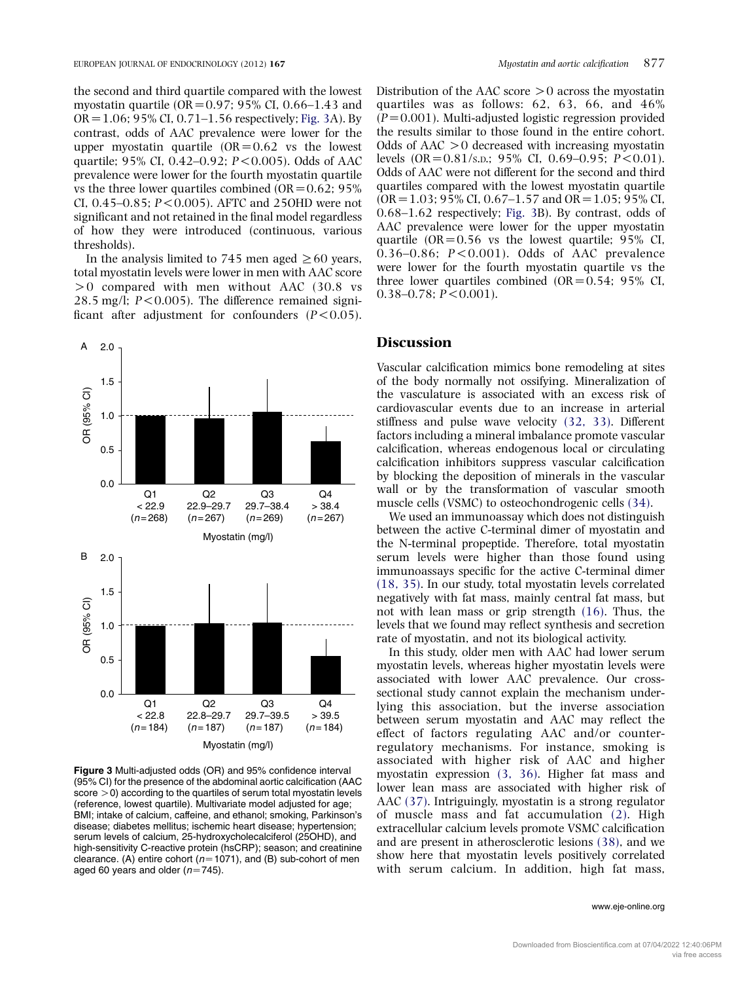the second and third quartile compared with the lowest myostatin quartile (OR =  $0.97$ ; 95% CI, 0.66–1.43 and  $OR = 1.06$ ; 95% CI, 0.71–1.56 respectively; Fig. 3A). By contrast, odds of AAC prevalence were lower for the upper myostatin quartile  $(OR=0.62$  vs the lowest quartile; 95% CI, 0.42–0.92;  $P < 0.005$ ). Odds of AAC prevalence were lower for the fourth myostatin quartile vs the three lower quartiles combined (OR =  $0.62$ ; 95%) CI,  $0.45 - 0.85$ ;  $P < 0.005$ ). AFTC and 25OHD were not significant and not retained in the final model regardless of how they were introduced (continuous, various thresholds).

In the analysis limited to 745 men aged  $\geq 60$  years, total myostatin levels were lower in men with AAC score  $> 0$  compared with men without AAC (30.8 vs 28.5 mg/l;  $P < 0.005$ ). The difference remained significant after adjustment for confounders  $(P<0.05)$ .



Figure 3 Multi-adjusted odds (OR) and 95% confidence interval (95% CI) for the presence of the abdominal aortic calcification (AAC  $\text{score} > 0$ ) according to the quartiles of serum total myostatin levels (reference, lowest quartile). Multivariate model adjusted for age; BMI; intake of calcium, caffeine, and ethanol; smoking, Parkinson's disease; diabetes mellitus; ischemic heart disease; hypertension; serum levels of calcium, 25-hydroxycholecalciferol (25OHD), and high-sensitivity C-reactive protein (hsCRP); season; and creatinine clearance. (A) entire cohort ( $n=1071$ ), and (B) sub-cohort of men aged 60 years and older ( $n=745$ ).

Distribution of the AAC score  $>0$  across the myostatin quartiles was as follows: 62, 63, 66, and 46%  $(P=0.001)$ . Multi-adjusted logistic regression provided the results similar to those found in the entire cohort. Odds of  $AAC > 0$  decreased with increasing myostatin levels  $(OR = 0.81/s.n.; 95% CI, 0.69-0.95; P < 0.01).$ Odds of AAC were not different for the second and third quartiles compared with the lowest myostatin quartile  $(OR = 1.03; 95\% \text{ CI}, 0.67-1.57 \text{ and } OR = 1.05; 95\% \text{ CI}.$ 0.68–1.62 respectively; Fig. 3B). By contrast, odds of AAC prevalence were lower for the upper myostatin quartile  $(OR = 0.56$  vs the lowest quartile; 95% CI,  $0.36-0.86$ ;  $P < 0.001$ ). Odds of AAC prevalence were lower for the fourth myostatin quartile vs the three lower quartiles combined  $(OR=0.54; 95\% \text{ CI},$  $0.38-0.78$ ;  $P < 0.001$ ).

## **Discussion**

Vascular calcification mimics bone remodeling at sites of the body normally not ossifying. Mineralization of the vasculature is associated with an excess risk of cardiovascular events due to an increase in arterial stiffness and pulse wave velocity [\(32, 33\)](#page-7-0). Different factors including a mineral imbalance promote vascular calcification, whereas endogenous local or circulating calcification inhibitors suppress vascular calcification by blocking the deposition of minerals in the vascular wall or by the transformation of vascular smooth muscle cells (VSMC) to osteochondrogenic cells [\(34\)](#page-7-0).

We used an immunoassay which does not distinguish between the active C-terminal dimer of myostatin and the N-terminal propeptide. Therefore, total myostatin serum levels were higher than those found using immunoassays specific for the active C-terminal dimer [\(18, 35\)](#page-6-0). In our study, total myostatin levels correlated negatively with fat mass, mainly central fat mass, but not with lean mass or grip strength [\(16\).](#page-6-0) Thus, the levels that we found may reflect synthesis and secretion rate of myostatin, and not its biological activity.

In this study, older men with AAC had lower serum myostatin levels, whereas higher myostatin levels were associated with lower AAC prevalence. Our crosssectional study cannot explain the mechanism underlying this association, but the inverse association between serum myostatin and AAC may reflect the effect of factors regulating AAC and/or counterregulatory mechanisms. For instance, smoking is associated with higher risk of AAC and higher myostatin expression [\(3, 36\).](#page-6-0) Higher fat mass and lower lean mass are associated with higher risk of AAC [\(37\).](#page-7-0) Intriguingly, myostatin is a strong regulator of muscle mass and fat accumulation [\(2\)](#page-5-0). High extracellular calcium levels promote VSMC calcification and are present in atherosclerotic lesions [\(38\)](#page-7-0), and we show here that myostatin levels positively correlated with serum calcium. In addition, high fat mass,

#### www.eje-online.org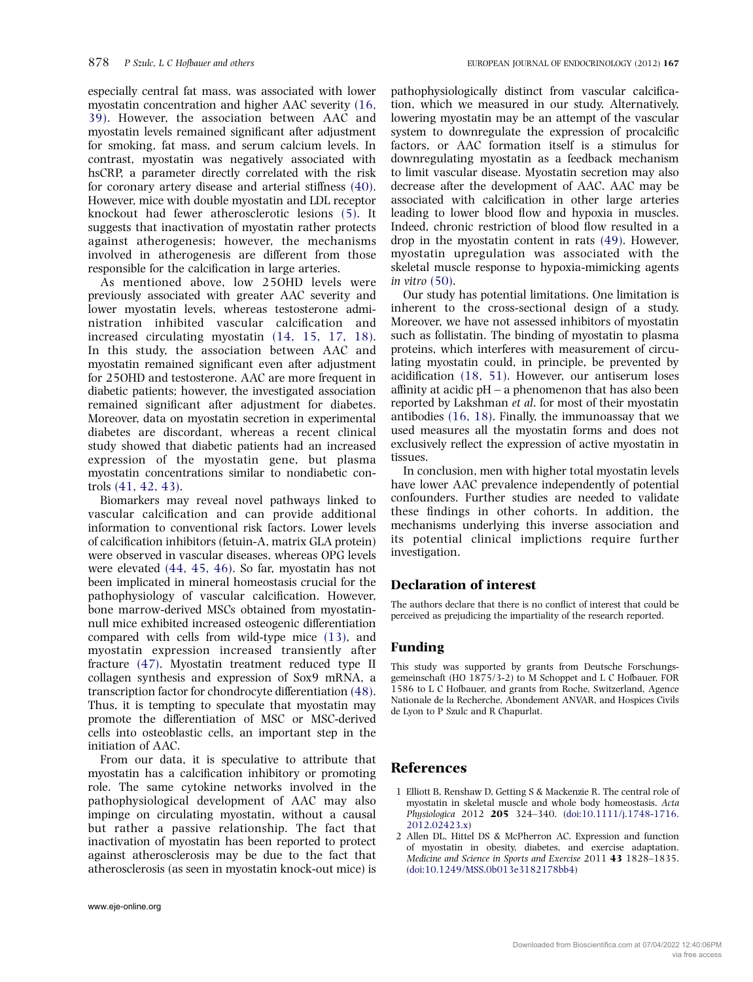<span id="page-5-0"></span>especially central fat mass, was associated with lower myostatin concentration and higher AAC severity [\(16,](#page-6-0) [39\).](#page-6-0) However, the association between AAC and myostatin levels remained significant after adjustment for smoking, fat mass, and serum calcium levels. In contrast, myostatin was negatively associated with hsCRP, a parameter directly correlated with the risk for coronary artery disease and arterial stiffness [\(40\).](#page-7-0) However, mice with double myostatin and LDL receptor knockout had fewer atherosclerotic lesions [\(5\).](#page-6-0) It suggests that inactivation of myostatin rather protects against atherogenesis; however, the mechanisms involved in atherogenesis are different from those responsible for the calcification in large arteries.

As mentioned above, low 25OHD levels were previously associated with greater AAC severity and lower myostatin levels, whereas testosterone administration inhibited vascular calcification and increased circulating myostatin [\(14, 15, 17, 18\).](#page-6-0) In this study, the association between AAC and myostatin remained significant even after adjustment for 25OHD and testosterone. AAC are more frequent in diabetic patients; however, the investigated association remained significant after adjustment for diabetes. Moreover, data on myostatin secretion in experimental diabetes are discordant, whereas a recent clinical study showed that diabetic patients had an increased expression of the myostatin gene, but plasma myostatin concentrations similar to nondiabetic controls [\(41, 42, 43\)](#page-7-0).

Biomarkers may reveal novel pathways linked to vascular calcification and can provide additional information to conventional risk factors. Lower levels of calcification inhibitors (fetuin-A, matrix GLA protein) were observed in vascular diseases, whereas OPG levels were elevated [\(44, 45, 46\).](#page-7-0) So far, myostatin has not been implicated in mineral homeostasis crucial for the pathophysiology of vascular calcification. However, bone marrow-derived MSCs obtained from myostatinnull mice exhibited increased osteogenic differentiation compared with cells from wild-type mice [\(13\)](#page-6-0), and myostatin expression increased transiently after fracture [\(47\).](#page-7-0) Myostatin treatment reduced type II collagen synthesis and expression of Sox9 mRNA, a transcription factor for chondrocyte differentiation [\(48\).](#page-7-0) Thus, it is tempting to speculate that myostatin may promote the differentiation of MSC or MSC-derived cells into osteoblastic cells, an important step in the initiation of AAC.

From our data, it is speculative to attribute that myostatin has a calcification inhibitory or promoting role. The same cytokine networks involved in the pathophysiological development of AAC may also impinge on circulating myostatin, without a causal but rather a passive relationship. The fact that inactivation of myostatin has been reported to protect against atherosclerosis may be due to the fact that atherosclerosis (as seen in myostatin knock-out mice) is pathophysiologically distinct from vascular calcification, which we measured in our study. Alternatively, lowering myostatin may be an attempt of the vascular system to downregulate the expression of procalcific factors, or AAC formation itself is a stimulus for downregulating myostatin as a feedback mechanism to limit vascular disease. Myostatin secretion may also decrease after the development of AAC. AAC may be associated with calcification in other large arteries leading to lower blood flow and hypoxia in muscles. Indeed, chronic restriction of blood flow resulted in a drop in the myostatin content in rats [\(49\).](#page-7-0) However, myostatin upregulation was associated with the skeletal muscle response to hypoxia-mimicking agents in vitro [\(50\)](#page-7-0).

Our study has potential limitations. One limitation is inherent to the cross-sectional design of a study. Moreover, we have not assessed inhibitors of myostatin such as follistatin. The binding of myostatin to plasma proteins, which interferes with measurement of circulating myostatin could, in principle, be prevented by acidification [\(18, 51\)](#page-6-0). However, our antiserum loses affinity at acidic pH – a phenomenon that has also been reported by Lakshman et al. for most of their myostatin antibodies [\(16, 18\)](#page-6-0). Finally, the immunoassay that we used measures all the myostatin forms and does not exclusively reflect the expression of active myostatin in tissues.

In conclusion, men with higher total myostatin levels have lower AAC prevalence independently of potential confounders. Further studies are needed to validate these findings in other cohorts. In addition, the mechanisms underlying this inverse association and its potential clinical implictions require further investigation.

### Declaration of interest

The authors declare that there is no conflict of interest that could be perceived as prejudicing the impartiality of the research reported.

#### Funding

This study was supported by grants from Deutsche Forschungsgemeinschaft (HO 1875/3-2) to M Schoppet and L C Hofbauer, FOR 1586 to L C Hofbauer, and grants from Roche, Switzerland, Agence Nationale de la Recherche, Abondement ANVAR, and Hospices Civils de Lyon to P Szulc and R Chapurlat.

## References

- 1 Elliott B, Renshaw D, Getting S & Mackenzie R. The central role of myostatin in skeletal muscle and whole body homeostasis. Acta Physiologica 2012 205 324–340. [\(doi:10.1111/j.1748-1716.](http://dx.doi.org/10.1111/j.1748-1716.2012.02423.x) [2012.02423.x\)](http://dx.doi.org/10.1111/j.1748-1716.2012.02423.x)
- 2 Allen DL, Hittel DS & McPherron AC. Expression and function of myostatin in obesity, diabetes, and exercise adaptation. Medicine and Science in Sports and Exercise 2011 43 1828–1835. [\(doi:10.1249/MSS.0b013e3182178bb4\)](http://dx.doi.org/10.1249/MSS.0b013e3182178bb4)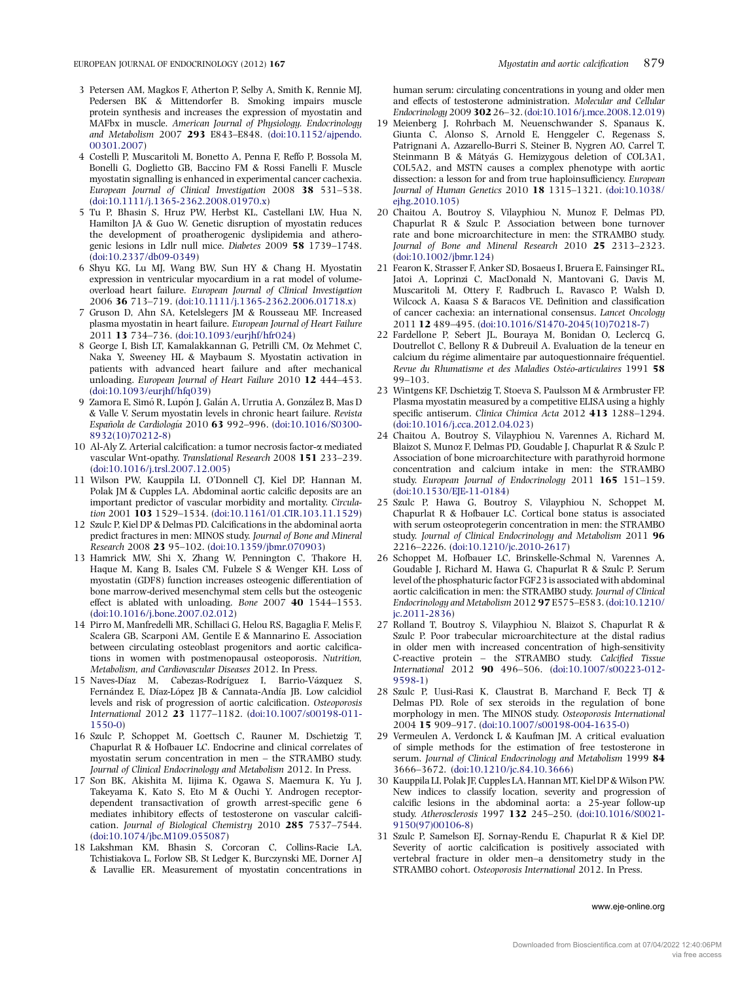- <span id="page-6-0"></span>3 Petersen AM, Magkos F, Atherton P, Selby A, Smith K, Rennie MJ, Pedersen BK & Mittendorfer B. Smoking impairs muscle protein synthesis and increases the expression of myostatin and MAFbx in muscle. American Journal of Physiology. Endocrinology and Metabolism 2007 293 E843–E848. [\(doi:10.1152/ajpendo.](http://dx.doi.org/10.1152/ajpendo.00301.2007) [00301.2007](http://dx.doi.org/10.1152/ajpendo.00301.2007))
- 4 Costelli P, Muscaritoli M, Bonetto A, Penna F, Reffo P, Bossola M, Bonelli G, Doglietto GB, Baccino FM & Rossi Fanelli F. Muscle myostatin signalling is enhanced in experimental cancer cachexia. European Journal of Clinical Investigation 2008 38 531–538. ([doi:10.1111/j.1365-2362.2008.01970.x\)](http://dx.doi.org/10.1111/j.1365-2362.2008.01970.x)
- 5 Tu P, Bhasin S, Hruz PW, Herbst KL, Castellani LW, Hua N, Hamilton JA & Guo W. Genetic disruption of myostatin reduces the development of proatherogenic dyslipidemia and atherogenic lesions in Ldlr null mice. Diabetes 2009 58 1739–1748. ([doi:10.2337/db09-0349\)](http://dx.doi.org/10.2337/db09-0349)
- 6 Shyu KG, Lu MJ, Wang BW, Sun HY & Chang H. Myostatin expression in ventricular myocardium in a rat model of volumeoverload heart failure. European Journal of Clinical Investigation 2006 36 713–719. [\(doi:10.1111/j.1365-2362.2006.01718.x](http://dx.doi.org/10.1111/j.1365-2362.2006.01718.x))
- 7 Gruson D, Ahn SA, Ketelslegers JM & Rousseau MF. Increased plasma myostatin in heart failure. European Journal of Heart Failure 2011 13 734–736. [\(doi:10.1093/eurjhf/hfr024\)](http://dx.doi.org/10.1093/eurjhf/hfr024)
- 8 George I, Bish LT, Kamalakkannan G, Petrilli CM, Oz Mehmet C, Naka Y, Sweeney HL & Maybaum S. Myostatin activation in patients with advanced heart failure and after mechanical unloading. European Journal of Heart Failure 2010 12 444-453. ([doi:10.1093/eurjhf/hfq039](http://dx.doi.org/10.1093/eurjhf/hfq039))
- 9 Zamora E, Simó R, Lupón J, Galán A, Urrutia A, González B, Mas D & Valle V. Serum myostatin levels in chronic heart failure. Revista Española de Cardiología 2010 63 992-996. ([doi:10.1016/S0300-](http://dx.doi.org/10.1016/S0300-8932(10)70212-8) [8932\(10\)70212-8\)](http://dx.doi.org/10.1016/S0300-8932(10)70212-8)
- 10 Al-Aly Z. Arterial calcification: a tumor necrosis factor-a mediated vascular Wnt-opathy. Translational Research 2008 151 233–239. ([doi:10.1016/j.trsl.2007.12.005\)](http://dx.doi.org/10.1016/j.trsl.2007.12.005)
- 11 Wilson PW, Kauppila LI, O'Donnell CJ, Kiel DP, Hannan M, Polak JM & Cupples LA. Abdominal aortic calcific deposits are an important predictor of vascular morbidity and mortality. Circulation 2001 103 1529–1534. ([doi:10.1161/01.CIR.103.11.1529](http://dx.doi.org/10.1161/01.CIR.103.11.1529))
- 12 Szulc P, Kiel DP & Delmas PD. Calcifications in the abdominal aorta predict fractures in men: MINOS study. Journal of Bone and Mineral Research 2008 23 95–102. [\(doi:10.1359/jbmr.070903\)](http://dx.doi.org/10.1359/jbmr.070903)
- 13 Hamrick MW, Shi X, Zhang W, Pennington C, Thakore H, Haque M, Kang B, Isales CM, Fulzele S & Wenger KH. Loss of myostatin (GDF8) function increases osteogenic differentiation of bone marrow-derived mesenchymal stem cells but the osteogenic effect is ablated with unloading. Bone 2007 40 1544–1553. ([doi:10.1016/j.bone.2007.02.012](http://dx.doi.org/10.1016/j.bone.2007.02.012))
- 14 Pirro M, Manfredelli MR, Schillaci G, Helou RS, Bagaglia F, Melis F, Scalera GB, Scarponi AM, Gentile E & Mannarino E. Association between circulating osteoblast progenitors and aortic calcifications in women with postmenopausal osteoporosis. Nutrition, Metabolism, and Cardiovascular Diseases 2012. In Press.
- 15 Naves-Díaz M, Cabezas-Rodríguez I, Barrio-Vázquez Fernández E, Díaz-López JB & Cannata-Andía JB. Low calcidiol levels and risk of progression of aortic calcification. Osteoporosis International 2012 23 1177–1182. [\(doi:10.1007/s00198-011-](http://dx.doi.org/10.1007/s00198-011-1550-0) [1550-0\)](http://dx.doi.org/10.1007/s00198-011-1550-0)
- 16 Szulc P, Schoppet M, Goettsch C, Rauner M, Dschietzig T, Chapurlat R & Hofbauer LC. Endocrine and clinical correlates of myostatin serum concentration in men – the STRAMBO study. Journal of Clinical Endocrinology and Metabolism 2012. In Press.
- 17 Son BK, Akishita M, Iijima K, Ogawa S, Maemura K, Yu J, Takeyama K, Kato S, Eto M & Ouchi Y. Androgen receptordependent transactivation of growth arrest-specific gene 6 mediates inhibitory effects of testosterone on vascular calcification. Journal of Biological Chemistry 2010 285 7537-7544. ([doi:10.1074/jbc.M109.055087\)](http://dx.doi.org/10.1074/jbc.M109.055087)
- 18 Lakshman KM, Bhasin S, Corcoran C, Collins-Racie LA, Tchistiakova L, Forlow SB, St Ledger K, Burczynski ME, Dorner AJ & Lavallie ER. Measurement of myostatin concentrations in

human serum: circulating concentrations in young and older men and effects of testosterone administration. Molecular and Cellular Endocrinology 2009 30226–32. ([doi:10.1016/j.mce.2008.12.019](http://dx.doi.org/10.1016/j.mce.2008.12.019))

- 19 Meienberg J, Rohrbach M, Neuenschwander S, Spanaus K, Giunta C, Alonso S, Arnold E, Henggeler C, Regenass S, Patrignani A, Azzarello-Burri S, Steiner B, Nygren AO, Carrel T, Steinmann B & Mátyás G. Hemizygous deletion of COL3A1, COL5A2, and MSTN causes a complex phenotype with aortic dissection: a lesson for and from true haploinsufficiency. European Journal of Human Genetics 2010 18 1315–1321. ([doi:10.1038/](http://dx.doi.org/10.1038/ejhg.2010.105) eihg.2010.105)
- 20 Chaitou A, Boutroy S, Vilayphiou N, Munoz F, Delmas PD, Chapurlat R & Szulc P. Association between bone turnover rate and bone microarchitecture in men: the STRAMBO study. Journal of Bone and Mineral Research 2010 25 2313–2323. ([doi:10.1002/jbmr.124](http://dx.doi.org/10.1002/jbmr.124))
- 21 Fearon K, Strasser F, Anker SD, Bosaeus I, Bruera E, Fainsinger RL, Jatoi A, Loprinzi C, MacDonald N, Mantovani G, Davis M, Muscaritoli M, Ottery F, Radbruch L, Ravasco P, Walsh D, Wilcock A, Kaasa S & Baracos VE. Definition and classification of cancer cachexia: an international consensus. Lancet Oncology 2011 12 489–495. ([doi:10.1016/S1470-2045\(10\)70218-7\)](http://dx.doi.org/10.1016/S1470-2045(10)70218-7)
- 22 Fardellone P, Sebert JL, Bouraya M, Bonidan O, Leclercq G, Doutrellot C, Bellony R & Dubreuil A. Evaluation de la teneur en calcium du régime alimentaire par autoquestionnaire fréquentiel. Revue du Rhumatisme et des Maladies Ostéo-articulaires 1991 58 99–103.
- 23 Wintgens KF, Dschietzig T, Stoeva S, Paulsson M & Armbruster FP. Plasma myostatin measured by a competitive ELISA using a highly specific antiserum. Clinica Chimica Acta 2012 413 1288-1294. ([doi:10.1016/j.cca.2012.04.023](http://dx.doi.org/10.1016/j.cca.2012.04.023))
- 24 Chaitou A, Boutroy S, Vilayphiou N, Varennes A, Richard M, Blaizot S, Munoz F, Delmas PD, Goudable J, Chapurlat R & Szulc P. Association of bone microarchitecture with parathyroid hormone concentration and calcium intake in men: the STRAMBO study. European Journal of Endocrinology 2011 165 151–159. ([doi:10.1530/EJE-11-0184](http://dx.doi.org/10.1530/EJE-11-0184))
- 25 Szulc P, Hawa G, Boutroy S, Vilayphiou N, Schoppet M, Chapurlat R & Hofbauer LC. Cortical bone status is associated with serum osteoprotegerin concentration in men: the STRAMBO study. Journal of Clinical Endocrinology and Metabolism 2011 96 2216–2226. [\(doi:10.1210/jc.2010-2617\)](http://dx.doi.org/10.1210/jc.2010-2617)
- 26 Schoppet M, Hofbauer LC, Brinskelle-Schmal N, Varennes A, Goudable J, Richard M, Hawa G, Chapurlat R & Szulc P. Serum level of the phosphaturic factor FGF23 is associated with abdominal aortic calcification in men: the STRAMBO study. Journal of Clinical Endocrinology and Metabolism 2012 97 E575–E583. ([doi:10.1210/](http://dx.doi.org/10.1210/jc.2011-2836) [jc.2011-2836](http://dx.doi.org/10.1210/jc.2011-2836))
- 27 Rolland T, Boutroy S, Vilayphiou N, Blaizot S, Chapurlat R & Szulc P. Poor trabecular microarchitecture at the distal radius in older men with increased concentration of high-sensitivity C-reactive protein – the STRAMBO study. Calcified Tissue International 2012 90 496–506. [\(doi:10.1007/s00223-012-](http://dx.doi.org/10.1007/s00223-012-9598-1) [9598-1\)](http://dx.doi.org/10.1007/s00223-012-9598-1)
- 28 Szulc P, Uusi-Rasi K, Claustrat B, Marchand F, Beck TJ & Delmas PD. Role of sex steroids in the regulation of bone morphology in men. The MINOS study. Osteoporosis International 2004 15 909–917. [\(doi:10.1007/s00198-004-1635-0](http://dx.doi.org/10.1007/s00198-004-1635-0))
- 29 Vermeulen A, Verdonck L & Kaufman JM. A critical evaluation of simple methods for the estimation of free testosterone in serum. Journal of Clinical Endocrinology and Metabolism 1999 84 3666–3672. [\(doi:10.1210/jc.84.10.3666](http://dx.doi.org/10.1210/jc.84.10.3666))
- 30 Kauppila LI, Polak JF, Cupples LA, Hannan MT, Kiel DP & Wilson PW. New indices to classify location, severity and progression of calcific lesions in the abdominal aorta: a 25-year follow-up study. Atherosclerosis 1997 132 245–250. [\(doi:10.1016/S0021-](http://dx.doi.org/10.1016/S0021-9150(97)00106-8) [9150\(97\)00106-8](http://dx.doi.org/10.1016/S0021-9150(97)00106-8))
- 31 Szulc P, Samelson EJ, Sornay-Rendu E, Chapurlat R & Kiel DP. Severity of aortic calcification is positively associated with vertebral fracture in older men–a densitometry study in the STRAMBO cohort. Osteoporosis International 2012. In Press.

www.eje-online.org